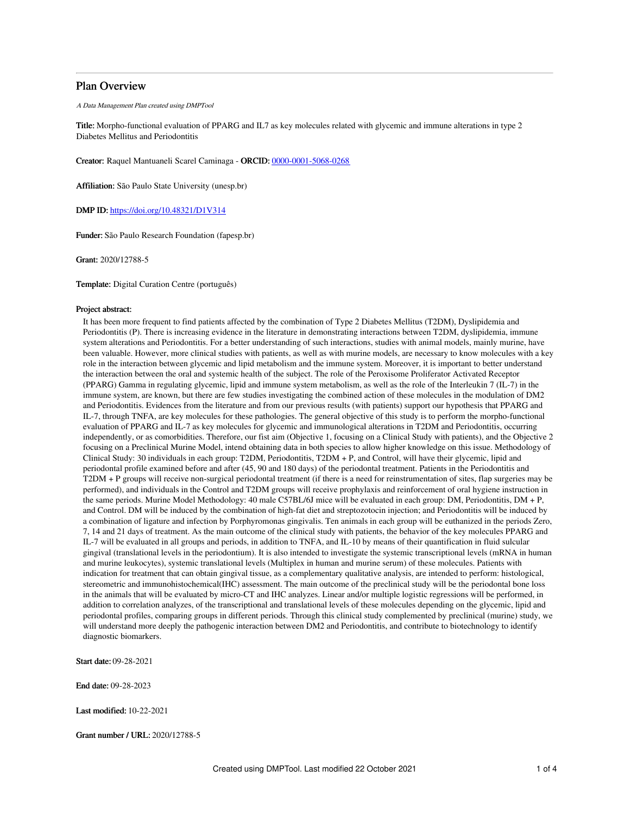# Plan Overview

A Data Management Plan created using DMPTool

Title: Morpho-functional evaluation of PPARG and IL7 as key molecules related with glycemic and immune alterations in type 2 Diabetes Mellitus and Periodontitis

Creator: Raquel Mantuaneli Scarel Caminaga - ORCID: [0000-0001-5068-0268](https://orcid.org/0000-0001-5068-0268)

Affiliation: São Paulo State University (unesp.br)

DMP ID: <https://doi.org/10.48321/D1V314>

Funder: São Paulo Research Foundation (fapesp.br)

Grant: 2020/12788-5

Template: Digital Curation Centre (português)

## Project abstract:

It has been more frequent to find patients affected by the combination of Type 2 Diabetes Mellitus (T2DM), Dyslipidemia and Periodontitis (P). There is increasing evidence in the literature in demonstrating interactions between T2DM, dyslipidemia, immune system alterations and Periodontitis. For a better understanding of such interactions, studies with animal models, mainly murine, have been valuable. However, more clinical studies with patients, as well as with murine models, are necessary to know molecules with a key role in the interaction between glycemic and lipid metabolism and the immune system. Moreover, it is important to better understand the interaction between the oral and systemic health of the subject. The role of the Peroxisome Proliferator Activated Receptor (PPARG) Gamma in regulating glycemic, lipid and immune system metabolism, as well as the role of the Interleukin 7 (IL-7) in the immune system, are known, but there are few studies investigating the combined action of these molecules in the modulation of DM2 and Periodontitis. Evidences from the literature and from our previous results (with patients) support our hypothesis that PPARG and IL-7, through TNFA, are key molecules for these pathologies. The general objective of this study is to perform the morpho-functional evaluation of PPARG and IL-7 as key molecules for glycemic and immunological alterations in T2DM and Periodontitis, occurring independently, or as comorbidities. Therefore, our fist aim (Objective 1, focusing on a Clinical Study with patients), and the Objective 2 focusing on a Preclinical Murine Model, intend obtaining data in both species to allow higher knowledge on this issue. Methodology of Clinical Study: 30 individuals in each group: T2DM, Periodontitis, T2DM + P, and Control, will have their glycemic, lipid and periodontal profile examined before and after (45, 90 and 180 days) of the periodontal treatment. Patients in the Periodontitis and T2DM + P groups will receive non-surgical periodontal treatment (if there is a need for reinstrumentation of sites, flap surgeries may be performed), and individuals in the Control and T2DM groups will receive prophylaxis and reinforcement of oral hygiene instruction in the same periods. Murine Model Methodology: 40 male C57BL/6J mice will be evaluated in each group: DM, Periodontitis, DM + P, and Control. DM will be induced by the combination of high-fat diet and streptozotocin injection; and Periodontitis will be induced by a combination of ligature and infection by Porphyromonas gingivalis. Ten animals in each group will be euthanized in the periods Zero, 7, 14 and 21 days of treatment. As the main outcome of the clinical study with patients, the behavior of the key molecules PPARG and IL-7 will be evaluated in all groups and periods, in addition to TNFA, and IL-10 by means of their quantification in fluid sulcular gingival (translational levels in the periodontium). It is also intended to investigate the systemic transcriptional levels (mRNA in human and murine leukocytes), systemic translational levels (Multiplex in human and murine serum) of these molecules. Patients with indication for treatment that can obtain gingival tissue, as a complementary qualitative analysis, are intended to perform: histological, stereometric and immunohistochemical(IHC) assessment. The main outcome of the preclinical study will be the periodontal bone loss in the animals that will be evaluated by micro-CT and IHC analyzes. Linear and/or multiple logistic regressions will be performed, in addition to correlation analyzes, of the transcriptional and translational levels of these molecules depending on the glycemic, lipid and periodontal profiles, comparing groups in different periods. Through this clinical study complemented by preclinical (murine) study, we will understand more deeply the pathogenic interaction between DM2 and Periodontitis, and contribute to biotechnology to identify diagnostic biomarkers.

Start date: 09-28-2021

End date: 09-28-2023

Last modified: 10-22-2021

Grant number / URL: 2020/12788-5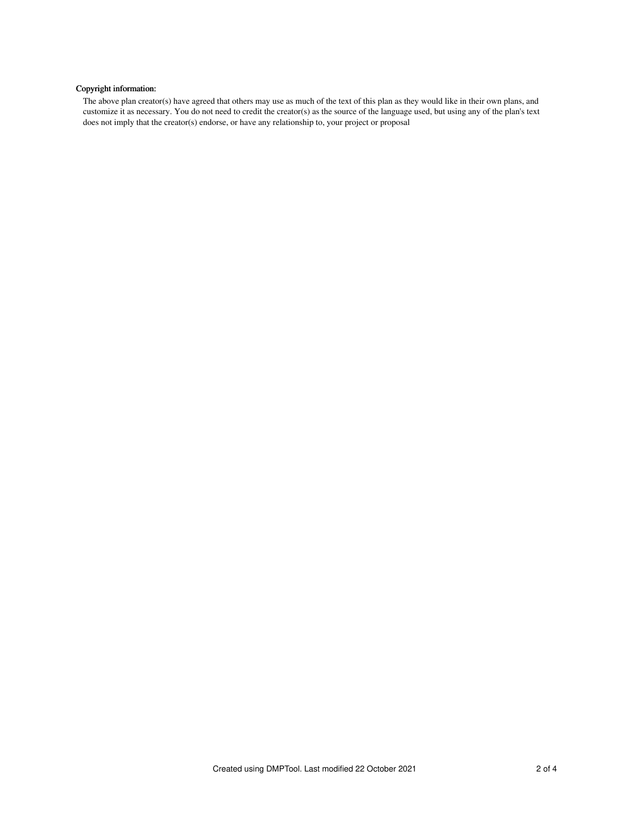# Copyright information:

The above plan creator(s) have agreed that others may use as much of the text of this plan as they would like in their own plans, and customize it as necessary. You do not need to credit the creator(s) as the source of the language used, but using any of the plan's text does not imply that the creator(s) endorse, or have any relationship to, your project or proposal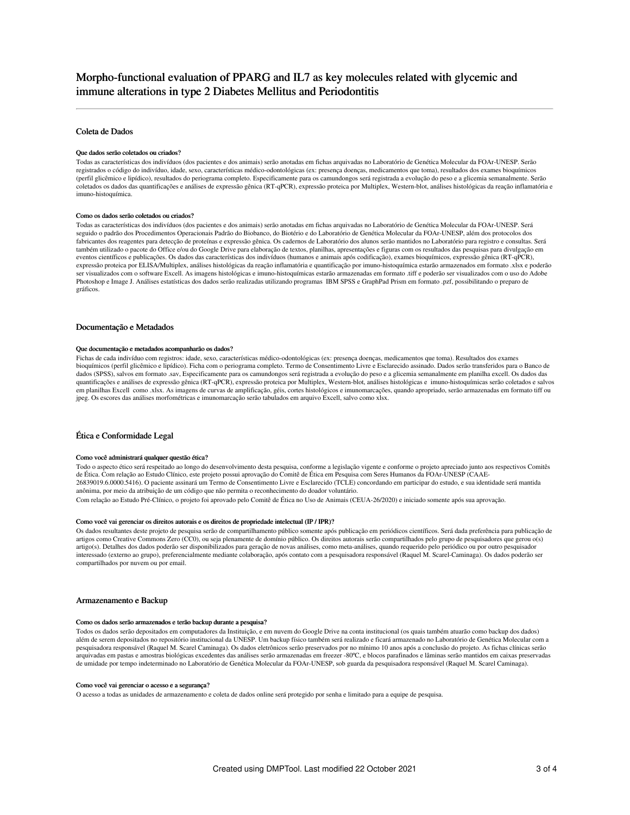## Coleta de Dados

#### Que dados serão coletados ou criados?

Todas as características dos indivíduos (dos pacientes e dos animais) serão anotadas em fichas arquivadas no Laboratório de Genética Molecular da FOAr-UNESP. Serão registrados o código do indivíduo, idade, sexo, características médico-odontológicas (ex: presença doenças, medicamentos que toma), resultados dos exames bioquímicos (perfil glicêmico e lipídico), resultados do periograma completo. Especificamente para os camundongos será registrada a evolução do peso e a glicemia semanalmente. Serão coletados os dados das quantificações e análises de expressão gênica (RT-qPCR), expressão proteica por Multiplex, Western-blot, análises histológicas da reação inflamatória e imuno-histoquímica.

#### Como os dados serão coletados ou criados?

Todas as características dos indivíduos (dos pacientes e dos animais) serão anotadas em fichas arquivadas no Laboratório de Genética Molecular da FOAr-UNESP. Será seguido o padrão dos Procedimentos Operacionais Padrão do Biobanco, do Biotério e do Laboratório de Genética Molecular da FOAr-UNESP, além dos protocolos dos fabricantes dos reagentes para detecção de proteínas e expressão gênica. Os cadernos de Laboratório dos alunos serão mantidos no Laboratório para registro e consultas. Será também utilizado o pacote do Office e/ou do Google Drive para elaboração de textos, planilhas, apresentações e figuras com os resultados das pesquisas para divulgação e eventos científicos e publicações. Os dados das características dos indivíduos (humanos e animais após codificação), exames bioquímicos, expressão gênica (RT-qPCR), expressão proteica por ELISA/Multiplex, análises histológicas da reação inflamatória e quantificação por imuno-histoquímica estarão armazenados em formato .xlsx e poderão ser visualizados com o software Excell. As imagens histológicas e imuno-histoquímicas estarão armazenadas em formato .tiff e poderão ser visualizados com o uso do Adobe Photoshop e Image J. Análises estatísticas dos dados serão realizadas utilizando programas IBM SPSS e GraphPad Prism em formato .pzf, possibilitando o preparo de gráficos.

## Documentação e Metadados

#### Que documentação e metadados acompanharão os dados?

Fichas de cada indivíduo com registros: idade, sexo, características médico-odontológicas (ex: presença doenças, medicamentos que toma). Resultados dos exames bioquímicos (perfil glicêmico e lipídico). Ficha com o periograma completo. Termo de Consentimento Livre e Esclarecido assinado. Dados serão transferidos para o Banco de dados (SPSS), salvos em formato .sav, Especificamente para os camundongos será registrada a evolução do peso e a glicemia semanalmente em planilha excell. Os dados das quantificações e análises de expressão gênica (RT-qPCR), expressão proteica por Multiplex, Western-blot, análises histológicas e imuno-histoquímicas serão coletados e salvos em planilhas Excell como .xlsx. As imagens de curvas de amplificação, géis, cortes histológicos e imunomarcações, quando apropriado, serão armazenadas em formato tiff ou jpeg. Os escores das análises morfométricas e imunomarcação serão tabulados em arquivo Excell, salvo como xlsx.

## Ética e Conformidade Legal

#### Como você administrará qualquer questão ética?

Todo o aspecto ético será respeitado ao longo do desenvolvimento desta pesquisa, conforme a legislação vigente e conforme o projeto apreciado junto aos respectivos Comitês de Ética. Com relação ao Estudo Clínico, este projeto possui aprovação do Comitê de Ética em Pesquisa com Seres Humanos da FOAr-UNESP (CAAE-26839019.6.0000.5416). O paciente assinará um Termo de Consentimento Livre e Esclarecido (TCLE) concordando em participar do estudo, e sua identidade será mantida anônima, por meio da atribuição de um código que não permita o reconhecimento do doador voluntário.

Com relação ao Estudo Pré-Clínico, o projeto foi aprovado pelo Comitê de Ética no Uso de Animais (CEUA-26/2020) e iniciado somente após sua aprovação.

### Como você vai gerenciar os direitos autorais e os direitos de propriedade intelectual (IP / IPR)?

Os dados resultantes deste projeto de pesquisa serão de compartilhamento público somente após publicação em periódicos científicos. Será dada preferência para publicação de artigos como Creative Commons Zero (CC0), ou seja plenamente de domínio público. Os direitos autorais serão compartilhados pelo grupo de pesquisadores que gerou o(s) artigo(s). Detalhes dos dados poderão ser disponibilizados para geração de novas análises, como meta-análises, quando requerido pelo periódico ou por outro pesquisador interessado (externo ao grupo), preferencialmente mediante colaboração, após contato com a pesquisadora responsável (Raquel M. Scarel-Caminaga). Os dados poderão ser compartilhados por nuvem ou por email.

## Armazenamento e Backup

### Como os dados serão armazenados e terão backup durante a pesquisa?

Todos os dados serão depositados em computadores da Instituição, e em nuvem do Google Drive na conta institucional (os quais também atuarão como backup dos dados) além de serem depositados no repositório institucional da UNESP. Um backup físico também será realizado e ficará armazenado no Laboratório de Genética Molecular com a pesquisadora responsável (Raquel M. Scarel Caminaga). Os dados eletrônicos serão preservados por no mínimo 10 anos após a conclusão do projeto. As fichas clínicas serão arquivadas em pastas e amostras biológicas excedentes das análises serão armazenadas em freezer -80ºC, e blocos parafinados e lâminas serão mantidos em caixas preservadas de umidade por tempo indeterminado no Laboratório de Genética Molecular da FOAr-UNESP, sob guarda da pesquisadora responsável (Raquel M. Scarel Caminaga).

#### Como você vai gerenciar o acesso e a segurança?

O acesso a todas as unidades de armazenamento e coleta de dados online será protegido por senha e limitado para a equipe de pesquisa.